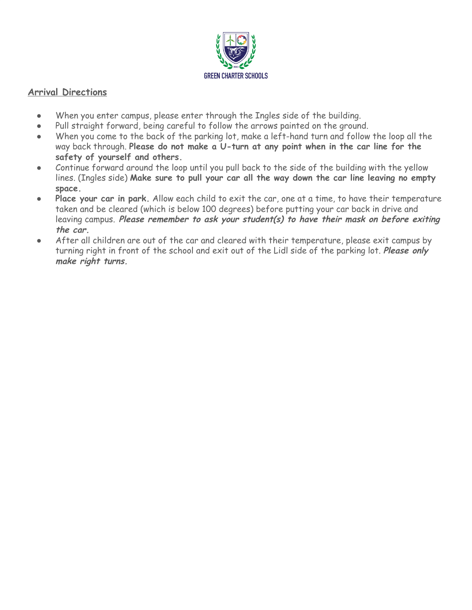

## **Arrival Directions**

- When you enter campus, please enter through the Ingles side of the building.
- Pull straight forward, being careful to follow the arrows painted on the ground.
- When you come to the back of the parking lot, make a left-hand turn and follow the loop all the way back through. **Please do not make a U-turn at any point when in the car line for the safety of yourself and others.**
- Continue forward around the loop until you pull back to the side of the building with the yellow lines. (Ingles side) **Make sure to pull your car all the way down the car line leaving no empty space.**
- **● Place your car in park.** Allow each child to exit the car, one at a time, to have their temperature taken and be cleared (which is below 100 degrees) before putting your car back in drive and leaving campus. **Please remember to ask your student(s) to have their mask on before exiting the car.**
- After all children are out of the car and cleared with their temperature, please exit campus by turning right in front of the school and exit out of the Lidl side of the parking lot. **Please only make right turns.**